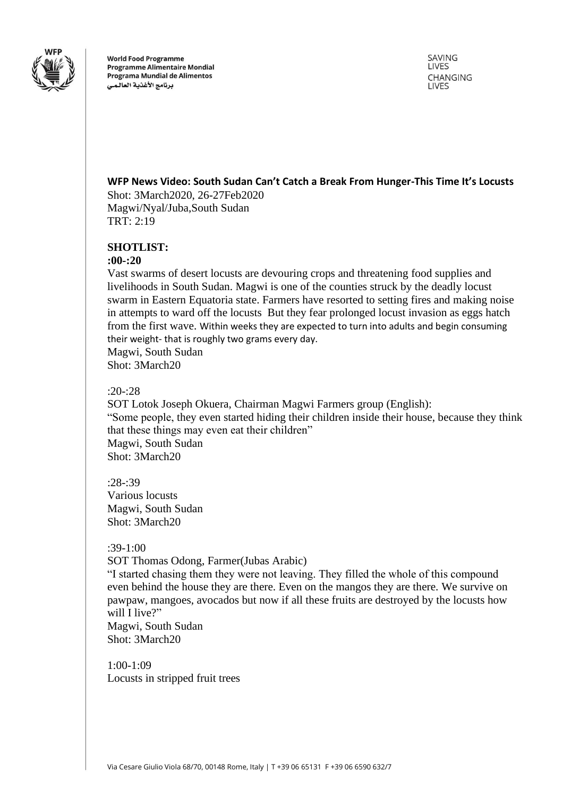

**World Food Programme Programme Alimentaire Mondial** Programa Mundial de Alimentos برنامج الأغذية العالمى

SAVING LIVES **CHANGING LIVES** 

# **WFP News Video: South Sudan Can't Catch a Break From Hunger-This Time It's Locusts**

Shot: 3March2020, 26-27Feb2020 Magwi/Nyal/Juba,South Sudan TRT: 2:19

## **SHOTLIST:**

#### **:00-:20**

Vast swarms of desert locusts are devouring crops and threatening food supplies and livelihoods in South Sudan. Magwi is one of the counties struck by the deadly locust swarm in Eastern Equatoria state. Farmers have resorted to setting fires and making noise in attempts to ward off the locusts But they fear prolonged locust invasion as eggs hatch from the first wave. Within weeks they are expected to turn into adults and begin consuming their weight- that is roughly two grams every day. Magwi, South Sudan

Shot: 3March20

#### $:20 - 28$

SOT Lotok Joseph Okuera, Chairman Magwi Farmers group (English): "Some people, they even started hiding their children inside their house, because they think that these things may even eat their children" Magwi, South Sudan Shot: 3March20

:28-:39 Various locusts Magwi, South Sudan Shot: 3March20

## :39-1:00

SOT Thomas Odong, Farmer(Jubas Arabic)

"I started chasing them they were not leaving. They filled the whole of this compound even behind the house they are there. Even on the mangos they are there. We survive on pawpaw, mangoes, avocados but now if all these fruits are destroyed by the locusts how will I live?"

Magwi, South Sudan Shot: 3March20

1:00-1:09 Locusts in stripped fruit trees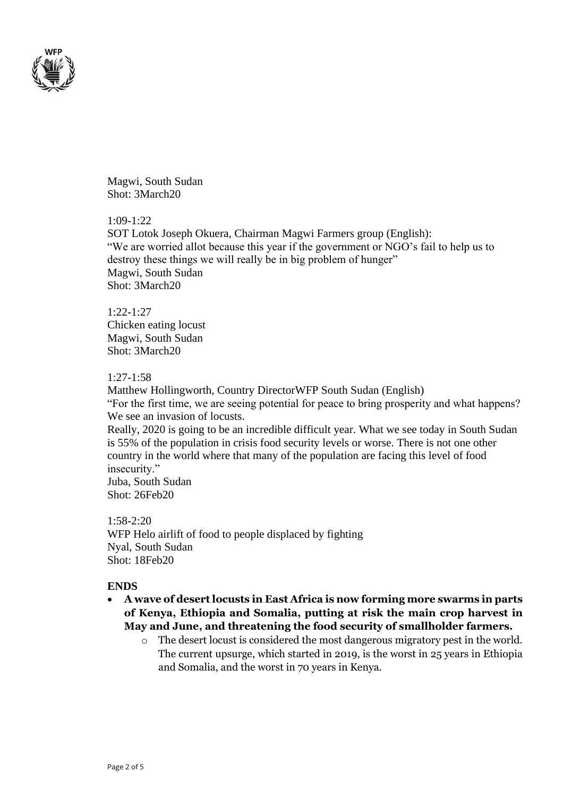

Magwi, South Sudan Shot: 3March20

### 1:09-1:22

SOT Lotok Joseph Okuera, Chairman Magwi Farmers group (English): "We are worried allot because this year if the government or NGO's fail to help us to destroy these things we will really be in big problem of hunger" Magwi, South Sudan Shot: 3March20

## 1:22-1:27 Chicken eating locust Magwi, South Sudan Shot: 3March20

### 1:27-1:58

Matthew Hollingworth, Country DirectorWFP South Sudan (English) "For the first time, we are seeing potential for peace to bring prosperity and what happens? We see an invasion of locusts.

Really, 2020 is going to be an incredible difficult year. What we see today in South Sudan is 55% of the population in crisis food security levels or worse. There is not one other country in the world where that many of the population are facing this level of food insecurity."

Juba, South Sudan Shot: 26Feb20

1:58-2:20 WFP Helo airlift of food to people displaced by fighting Nyal, South Sudan Shot: 18Feb20

## **ENDS**

- **A wave of desert locusts in East Africa is now forming more swarms in parts of Kenya, Ethiopia and Somalia, putting at risk the main crop harvest in May and June, and threatening the food security of smallholder farmers.** 
	- o The desert locust is considered the most dangerous migratory pest in the world. The current upsurge, which started in 2019, is the worst in 25 years in Ethiopia and Somalia, and the worst in 70 years in Kenya.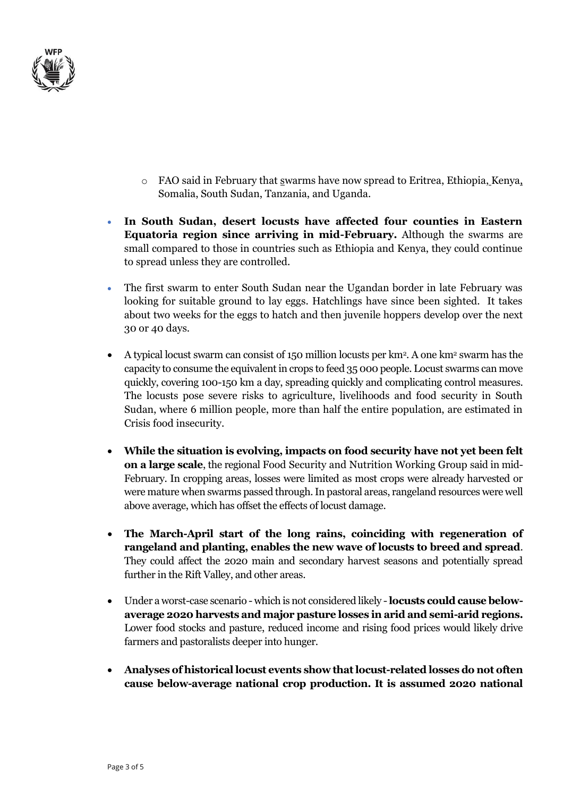

- o FAO said in February that swarms have now spread to Eritrea, Ethiopia, Kenya, Somalia, South Sudan, Tanzania, and Uganda.
- **In South Sudan, desert locusts have affected four counties in Eastern Equatoria region since arriving in mid-February.** Although the swarms are small compared to those in countries such as Ethiopia and Kenya, they could continue to spread unless they are controlled.
- The first swarm to enter South Sudan near the Ugandan border in late February was looking for suitable ground to lay eggs. Hatchlings have since been sighted. It takes about two weeks for the eggs to hatch and then juvenile hoppers develop over the next 30 or 40 days.
- A typical locust swarm can consist of 150 million locusts per km<sup>2</sup>. A one km<sup>2</sup> swarm has the capacity to consume the equivalent in crops to feed 35 000 people. Locust swarms can move quickly, covering 100-150 km a day, spreading quickly and complicating control measures. The locusts pose severe risks to agriculture, livelihoods and food security in South Sudan, where 6 million people, more than half the entire population, are estimated in Crisis food insecurity.
- **While the situation is evolving, impacts on food security have not yet been felt on a large scale**, the regional Food Security and Nutrition Working Group said in mid-February. In cropping areas, losses were limited as most crops were already harvested or were mature when swarms passed through. In pastoral areas, rangeland resources were well above average, which has offset the effects of locust damage.
- **The March-April start of the long rains, coinciding with regeneration of rangeland and planting, enables the new wave of locusts to breed and spread**. They could affect the 2020 main and secondary harvest seasons and potentially spread further in the Rift Valley, and other areas.
- Under a worst-case scenario which is not considered likely -**locusts could cause belowaverage 2020 harvests and major pasture losses in arid and semi-arid regions.** Lower food stocks and pasture, reduced income and rising food prices would likely drive farmers and pastoralists deeper into hunger.
- **Analyses of historical locust events show that locust-related losses do not often cause below-average national crop production. It is assumed 2020 national**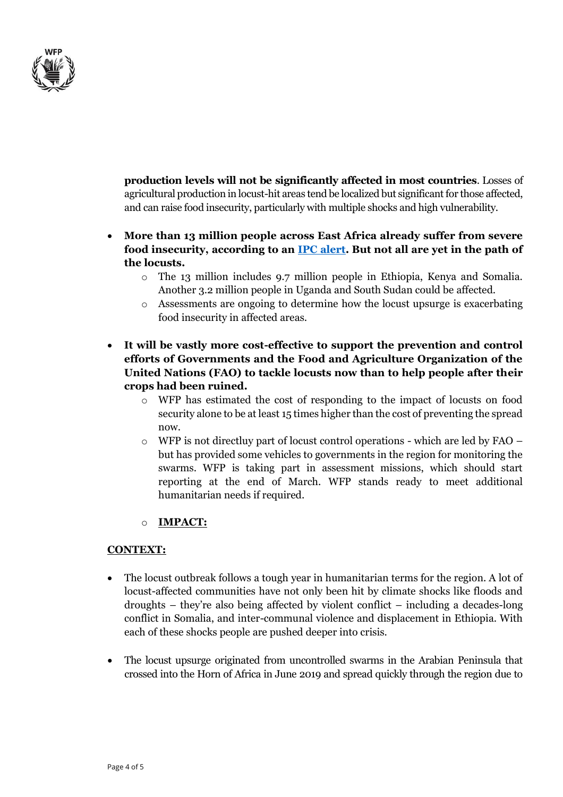

**production levels will not be significantly affected in most countries**. Losses of agricultural production in locust-hit areas tend be localized but significant for those affected, and can raise food insecurity, particularly with multiple shocks and high vulnerability.

- **More than 13 million people across East Africa already suffer from severe food insecurity, according to an [IPC alert.](http://www.ipcinfo.org/ipcinfo-website/ipc-alerts/issue-18/en/) But not all are yet in the path of the locusts.**
	- o The 13 million includes 9.7 million people in Ethiopia, Kenya and Somalia. Another 3.2 million people in Uganda and South Sudan could be affected.
	- o Assessments are ongoing to determine how the locust upsurge is exacerbating food insecurity in affected areas.
- **It will be vastly more cost-effective to support the prevention and control efforts of Governments and the Food and Agriculture Organization of the United Nations (FAO) to tackle locusts now than to help people after their crops had been ruined.**
	- o WFP has estimated the cost of responding to the impact of locusts on food security alone to be at least 15 times higher than the cost of preventing the spread now.
	- $\circ$  WFP is not directluy part of locust control operations which are led by FAO but has provided some vehicles to governments in the region for monitoring the swarms. WFP is taking part in assessment missions, which should start reporting at the end of March. WFP stands ready to meet additional humanitarian needs if required.

# o **IMPACT:**

# **CONTEXT:**

- The locust outbreak follows a tough year in humanitarian terms for the region. A lot of locust-affected communities have not only been hit by climate shocks like floods and droughts – they're also being affected by violent conflict – including a decades-long conflict in Somalia, and inter-communal violence and displacement in Ethiopia. With each of these shocks people are pushed deeper into crisis.
- The locust upsurge originated from uncontrolled swarms in the Arabian Peninsula that crossed into the Horn of Africa in June 2019 and spread quickly through the region due to